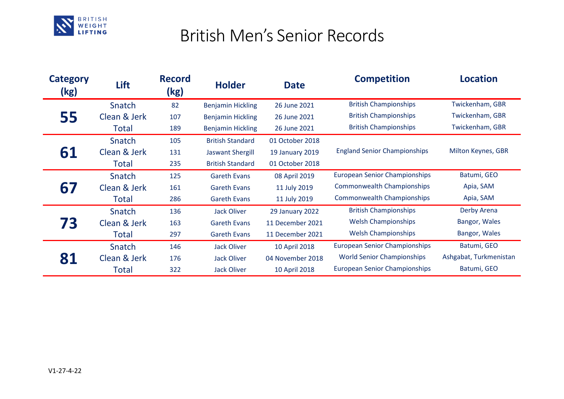

## British Men's Senior Records

| <b>Category</b><br>(kg) | Lift         | <b>Record</b><br>(kg) | <b>Holder</b>            | <b>Date</b>      | <b>Competition</b>                   | <b>Location</b>        |
|-------------------------|--------------|-----------------------|--------------------------|------------------|--------------------------------------|------------------------|
| 55                      | Snatch       | 82                    | <b>Benjamin Hickling</b> | 26 June 2021     | <b>British Championships</b>         | Twickenham, GBR        |
|                         | Clean & Jerk | 107                   | <b>Benjamin Hickling</b> | 26 June 2021     | <b>British Championships</b>         | Twickenham, GBR        |
|                         | Total        | 189                   | <b>Benjamin Hickling</b> | 26 June 2021     | <b>British Championships</b>         | Twickenham, GBR        |
| 61                      | Snatch       | 105                   | <b>British Standard</b>  | 01 October 2018  | <b>England Senior Championships</b>  | Milton Keynes, GBR     |
|                         | Clean & Jerk | 131                   | <b>Jaswant Shergill</b>  | 19 January 2019  |                                      |                        |
|                         | Total        | 235                   | <b>British Standard</b>  | 01 October 2018  |                                      |                        |
| 67                      | Snatch       | 125                   | <b>Gareth Evans</b>      | 08 April 2019    | <b>European Senior Championships</b> | Batumi, GEO            |
|                         | Clean & Jerk | 161                   | <b>Gareth Evans</b>      | 11 July 2019     | <b>Commonwealth Championships</b>    | Apia, SAM              |
|                         | Total        | 286                   | <b>Gareth Evans</b>      | 11 July 2019     | <b>Commonwealth Championships</b>    | Apia, SAM              |
| 73                      | Snatch       | 136                   | Jack Oliver              | 29 January 2022  | <b>British Championships</b>         | Derby Arena            |
|                         | Clean & Jerk | 163                   | <b>Gareth Evans</b>      | 11 December 2021 | <b>Welsh Championships</b>           | Bangor, Wales          |
|                         | Total        | 297                   | <b>Gareth Evans</b>      | 11 December 2021 | <b>Welsh Championships</b>           | Bangor, Wales          |
| 81                      | Snatch       | 146                   | Jack Oliver              | 10 April 2018    | <b>European Senior Championships</b> | Batumi, GEO            |
|                         | Clean & Jerk | 176                   | <b>Jack Oliver</b>       | 04 November 2018 | <b>World Senior Championships</b>    | Ashgabat, Turkmenistan |
|                         | Total        | 322                   | Jack Oliver              | 10 April 2018    | <b>European Senior Championships</b> | Batumi, GEO            |